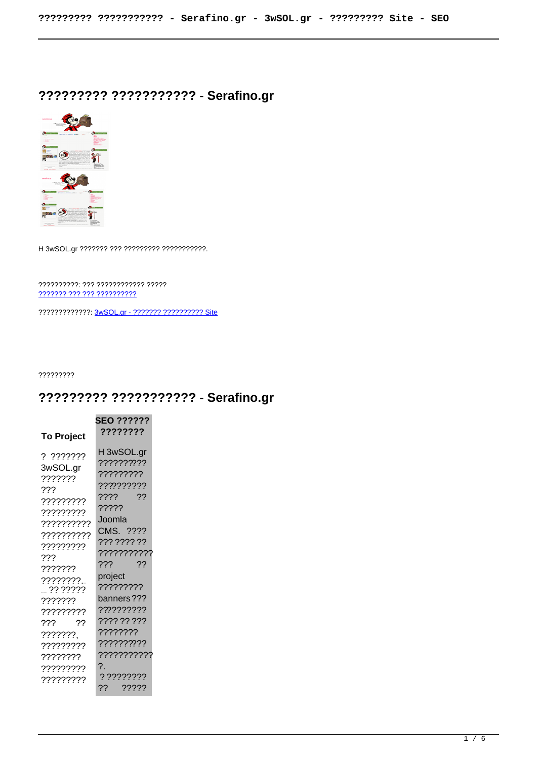## ????????? ??????????? - Serafino.gr



H 3wSOL.gr ??????? ??? ????????? ????????????.

## 

????????????? 3wSOL.gr - ??????? ?????????? Site

?????????

## ????????? ??????????? - Serafino.gr

|                                                                                                                                                                                                                                                         | <b>SEO ??????</b>                                                                                                                                                                                                                                                                         |
|---------------------------------------------------------------------------------------------------------------------------------------------------------------------------------------------------------------------------------------------------------|-------------------------------------------------------------------------------------------------------------------------------------------------------------------------------------------------------------------------------------------------------------------------------------------|
| <b>To Project</b>                                                                                                                                                                                                                                       | ????????                                                                                                                                                                                                                                                                                  |
| ? ???????<br>3wSOL.gr<br>???????<br>777<br>?????????<br>?????????<br>??????????<br>7777777777<br>777777777<br>777<br>???????<br>????????.<br>$-222222$<br>???????<br>?????????<br>??? ??<br>???????,<br>?????????<br>77777777<br>?????????<br>????????? | H 3wSOL.gr<br>??????????<br>?????????<br>??????????<br>$7777$ $77$<br>?????<br>Joomla<br>CMS. ????<br>??? ???? ??<br>???????????<br>??? ??<br>project<br>?????????<br>banners???<br>?????????<br>???? ?? ???<br>77777777<br>??????????<br>77777777777<br>?.<br>? ????????<br>$??$ $?????$ |
|                                                                                                                                                                                                                                                         |                                                                                                                                                                                                                                                                                           |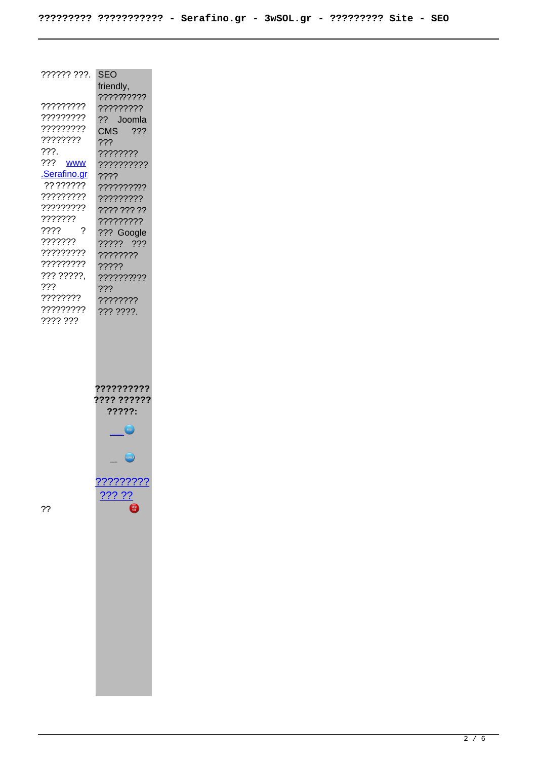| ?????? ???.    | SEO              |
|----------------|------------------|
|                | friendly,        |
|                | ??????????       |
| ?????????      | ?????????        |
| ?????????      | ?? Joomla        |
| ?????????      | CMS ???          |
| ????????       | ???              |
| ???.           | ????????         |
| ??? <u>www</u> | ??????????       |
| Serafino.gr    | ????             |
| ???????        | ??????????       |
| ?????????      | ?????????        |
| ?????????      | ???? ??? ??      |
| ???????        | ?????????        |
| ????<br>?      | ??? Google       |
| ???????        | ????? ???        |
| ?????????      | ????????         |
| ?????????      | ?????            |
| ??? ?????,     |                  |
| ???            | ??????????       |
| ????????       | ???              |
|                | ????????         |
| ?????????      | ??? ????.        |
| ???? ???       |                  |
|                |                  |
|                |                  |
|                |                  |
|                |                  |
|                |                  |
|                | ??????????       |
|                | ???? ??????      |
|                | ?????:           |
|                |                  |
|                | SITE             |
|                |                  |
|                | (100MLA)         |
|                |                  |
|                |                  |
|                |                  |
|                | <u>?????????</u> |
|                | <u>??? ??</u>    |
|                | VIEW<br>SITE     |
| ??             |                  |
|                |                  |
|                |                  |
|                |                  |
|                |                  |
|                |                  |
|                |                  |
|                |                  |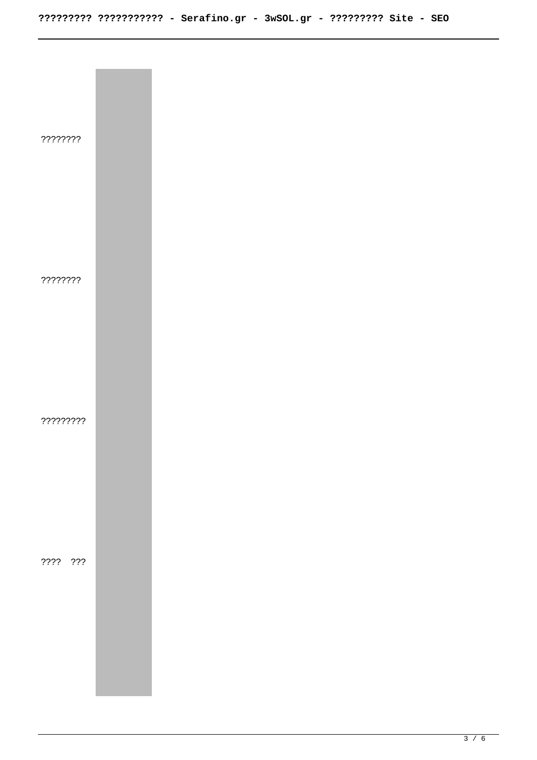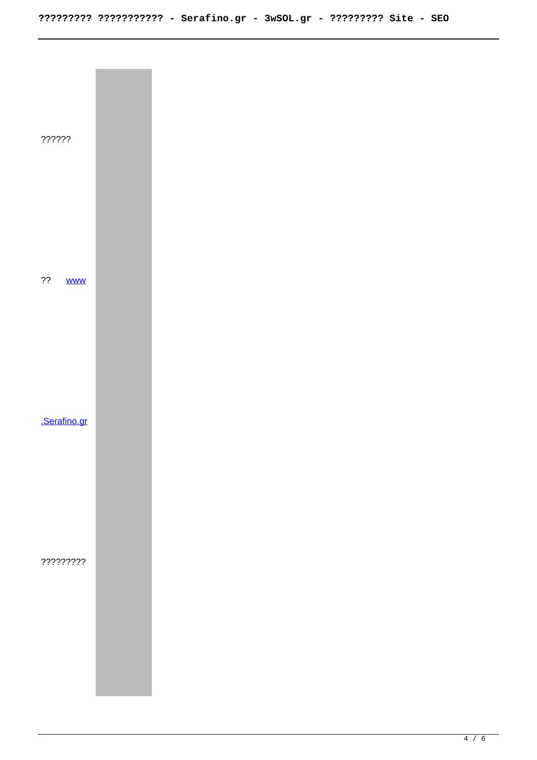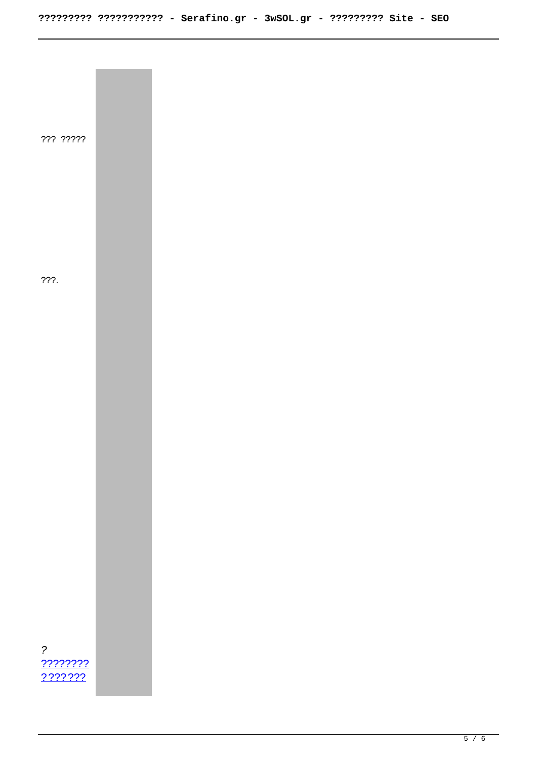$\overline{?}$ ???????? ???????

??? ?????

 $???.$